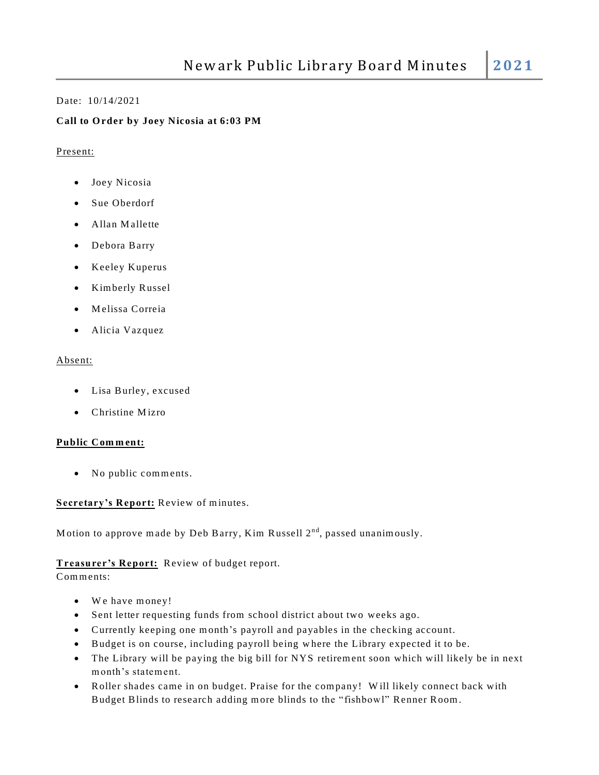#### Date: 10/14/2021

## **Call to O rder by Joey Nicosia at 6:03 PM**

#### Present:

- Joey Nicosia
- Sue Oberdorf
- Allan Mallette
- Debora Barry
- Keeley Kuperus
- Kim berly Russel
- M elissa Correia
- Alicia Vazquez

#### Absent:

- Lisa Burley, excused
- $\bullet$  Christine Mizro

## **Public Com m ent:**

• No public comments.

## **Secretary's Report:** Review of minutes.

Motion to approve made by Deb Barry, Kim Russell 2<sup>nd</sup>, passed unanimously.

## **Treasurer's Report:** Review of budget report.

Comments:

- We have money!
- Sent letter requesting funds from school district about two weeks ago.
- Currently keeping one m onth's payroll and payable s in the checking account.
- Budget is on course, including payroll being w here the Library expected it to be.
- The Library will be paying the big bill for NYS retirement soon which will likely be in next m onth's statem ent.
- Roller shades came in on budget. Praise for the company! Will likely connect back with Budget Blinds to research adding m ore blinds to the "fishbowl" Renner Room .